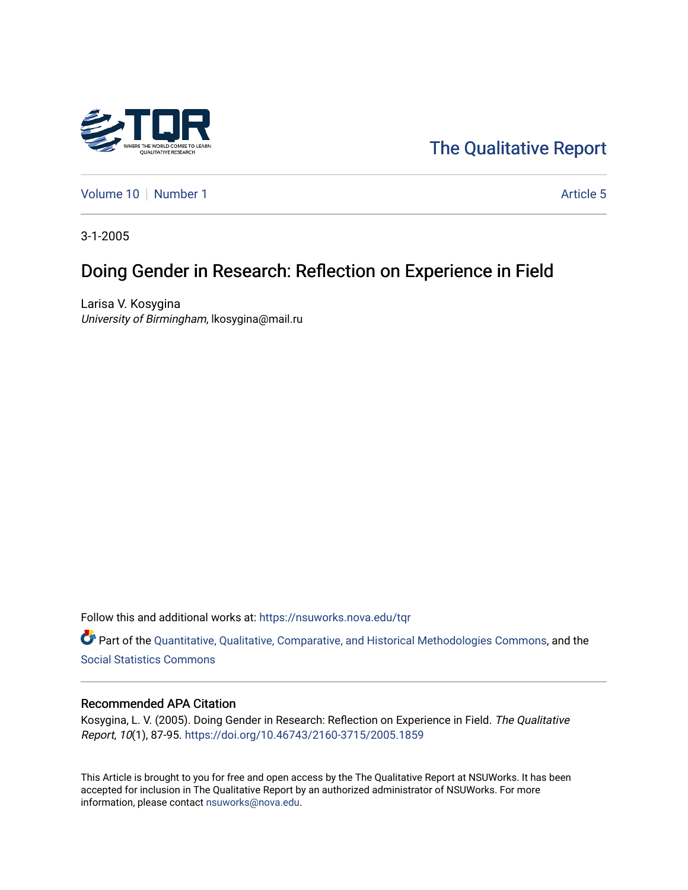

[The Qualitative Report](https://nsuworks.nova.edu/tqr) 

[Volume 10](https://nsuworks.nova.edu/tqr/vol10) [Number 1](https://nsuworks.nova.edu/tqr/vol10/iss1) Article 5

3-1-2005

# Doing Gender in Research: Reflection on Experience in Field

Larisa V. Kosygina University of Birmingham, lkosygina@mail.ru

Follow this and additional works at: [https://nsuworks.nova.edu/tqr](https://nsuworks.nova.edu/tqr?utm_source=nsuworks.nova.edu%2Ftqr%2Fvol10%2Fiss1%2F5&utm_medium=PDF&utm_campaign=PDFCoverPages) 

Part of the [Quantitative, Qualitative, Comparative, and Historical Methodologies Commons,](http://network.bepress.com/hgg/discipline/423?utm_source=nsuworks.nova.edu%2Ftqr%2Fvol10%2Fiss1%2F5&utm_medium=PDF&utm_campaign=PDFCoverPages) and the [Social Statistics Commons](http://network.bepress.com/hgg/discipline/1275?utm_source=nsuworks.nova.edu%2Ftqr%2Fvol10%2Fiss1%2F5&utm_medium=PDF&utm_campaign=PDFCoverPages) 

#### Recommended APA Citation

Kosygina, L. V. (2005). Doing Gender in Research: Reflection on Experience in Field. The Qualitative Report, 10(1), 87-95. <https://doi.org/10.46743/2160-3715/2005.1859>

This Article is brought to you for free and open access by the The Qualitative Report at NSUWorks. It has been accepted for inclusion in The Qualitative Report by an authorized administrator of NSUWorks. For more information, please contact [nsuworks@nova.edu.](mailto:nsuworks@nova.edu)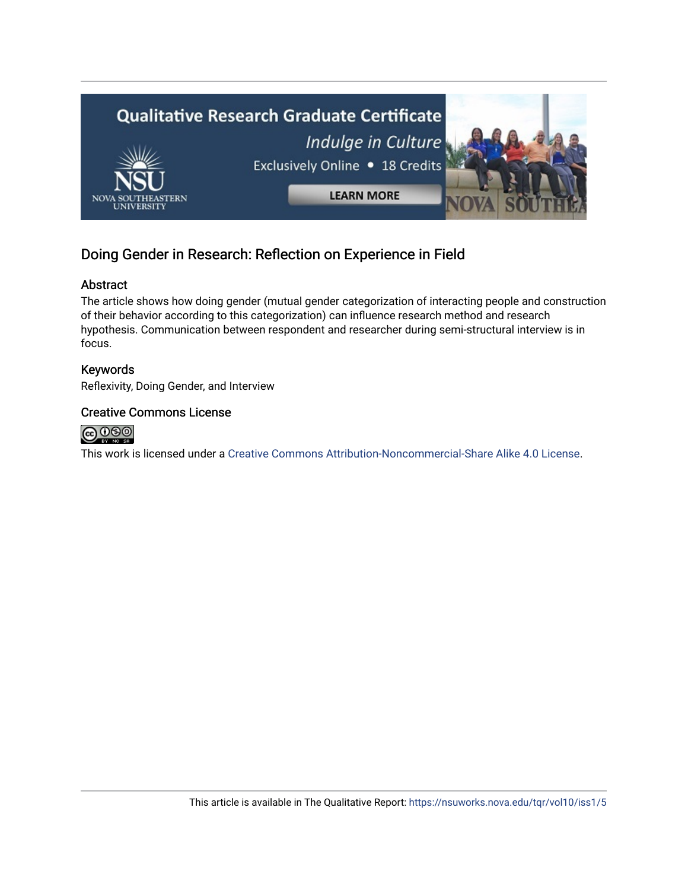

## Doing Gender in Research: Reflection on Experience in Field

## Abstract

The article shows how doing gender (mutual gender categorization of interacting people and construction of their behavior according to this categorization) can influence research method and research hypothesis. Communication between respondent and researcher during semi-structural interview is in focus.

## Keywords

Reflexivity, Doing Gender, and Interview

### Creative Commons License



This work is licensed under a [Creative Commons Attribution-Noncommercial-Share Alike 4.0 License](https://creativecommons.org/licenses/by-nc-sa/4.0/).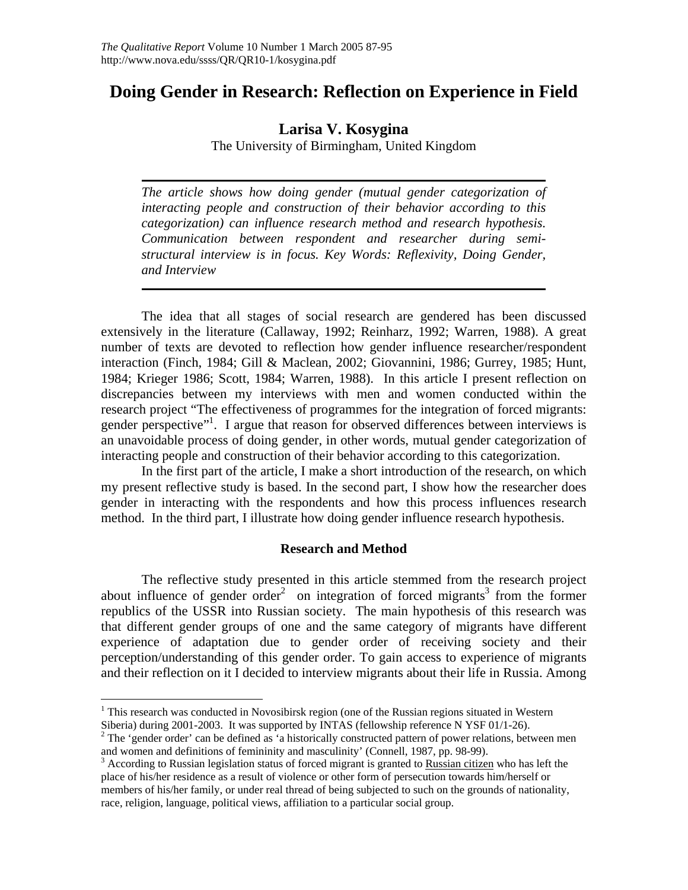## **Doing Gender in Research: Reflection on Experience in Field**

## **Larisa V. Kosygina**

The University of Birmingham, United Kingdom

*The article shows how doing gender (mutual gender categorization of interacting people and construction of their behavior according to this categorization) can influence research method and research hypothesis. Communication between respondent and researcher during semistructural interview is in focus. Key Words: Reflexivity, Doing Gender, and Interview* 

The idea that all stages of social research are gendered has been discussed extensively in the literature (Callaway, 1992; Reinharz, 1992; Warren, 1988). A great number of texts are devoted to reflection how gender influence researcher/respondent interaction (Finch, 1984; Gill & Maclean, 2002; Giovannini, 1986; Gurrey, 1985; Hunt, 1984; Krieger 1986; Scott, 1984; Warren, 1988). In this article I present reflection on discrepancies between my interviews with men and women conducted within the research project "The effectiveness of programmes for the integration of forced migrants: gender perspective"<sup>1</sup>. I argue that reason for observed differences between interviews is an unavoidable process of doing gender, in other words, mutual gender categorization of interacting people and construction of their behavior according to this categorization.

In the first part of the article, I make a short introduction of the research, on which my present reflective study is based. In the second part, I show how the researcher does gender in interacting with the respondents and how this process influences research method. In the third part, I illustrate how doing gender influence research hypothesis.

### **Research and Method**

The reflective study presented in this article stemmed from the research project about influence of gender order<sup>2</sup> on integration of forced migrants<sup>3</sup> from the former republics of the USSR into Russian society. The main hypothesis of this research was that different gender groups of one and the same category of migrants have different experience of adaptation due to gender order of receiving society and their perception/understanding of this gender order. To gain access to experience of migrants and their reflection on it I decided to interview migrants about their life in Russia. Among

 $\overline{a}$ 

<sup>&</sup>lt;sup>1</sup> This research was conducted in Novosibirsk region (one of the Russian regions situated in Western Siberia) during 2001-2003. It was supported by INTAS (fellowship reference N YSF 01/1-26). 2

 $2$  The 'gender order' can be defined as 'a historically constructed pattern of power relations, between men and women and definitions of femininity and masculinity' (Connell, 1987, pp. 98-99).

 $3$  According to Russian legislation status of forced migrant is granted to Russian citizen who has left the place of his/her residence as a result of violence or other form of persecution towards him/herself or members of his/her family, or under real thread of being subjected to such on the grounds of nationality, race, religion, language, political views, affiliation to a particular social group.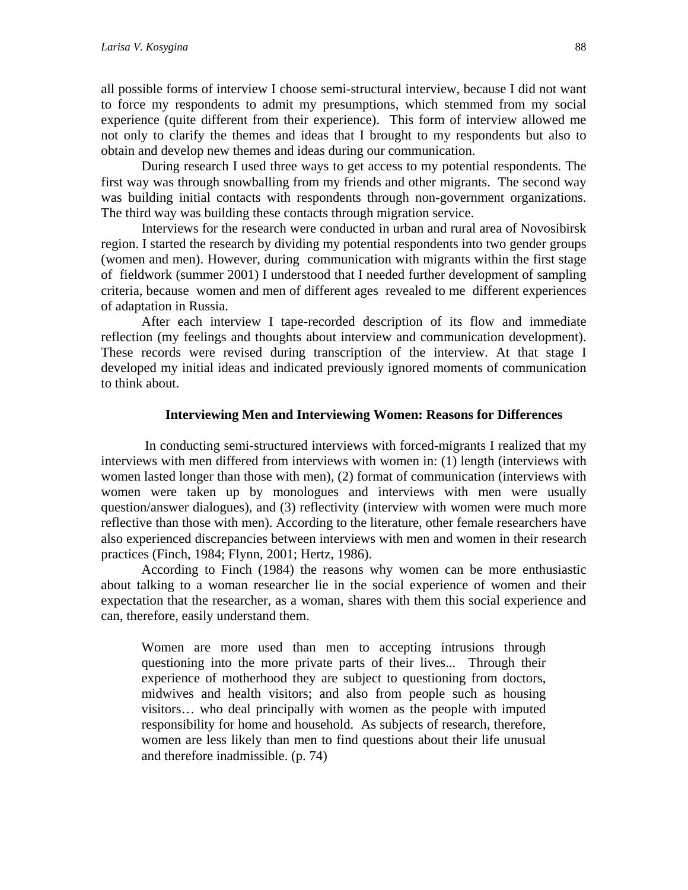all possible forms of interview I choose semi-structural interview, because I did not want to force my respondents to admit my presumptions, which stemmed from my social experience (quite different from their experience). This form of interview allowed me not only to clarify the themes and ideas that I brought to my respondents but also to obtain and develop new themes and ideas during our communication.

During research I used three ways to get access to my potential respondents. The first way was through snowballing from my friends and other migrants. The second way was building initial contacts with respondents through non-government organizations. The third way was building these contacts through migration service.

Interviews for the research were conducted in urban and rural area of Novosibirsk region. I started the research by dividing my potential respondents into two gender groups (women and men). However, during communication with migrants within the first stage of fieldwork (summer 2001) I understood that I needed further development of sampling criteria, because women and men of different ages revealed to me different experiences of adaptation in Russia.

After each interview I tape-recorded description of its flow and immediate reflection (my feelings and thoughts about interview and communication development). These records were revised during transcription of the interview. At that stage I developed my initial ideas and indicated previously ignored moments of communication to think about.

#### **Interviewing Men and Interviewing Women: Reasons for Differences**

 In conducting semi-structured interviews with forced-migrants I realized that my interviews with men differed from interviews with women in: (1) length (interviews with women lasted longer than those with men), (2) format of communication (interviews with women were taken up by monologues and interviews with men were usually question/answer dialogues), and (3) reflectivity (interview with women were much more reflective than those with men). According to the literature, other female researchers have also experienced discrepancies between interviews with men and women in their research practices (Finch, 1984; Flynn, 2001; Hertz, 1986).

According to Finch (1984) the reasons why women can be more enthusiastic about talking to a woman researcher lie in the social experience of women and their expectation that the researcher, as a woman, shares with them this social experience and can, therefore, easily understand them.

Women are more used than men to accepting intrusions through questioning into the more private parts of their lives... Through their experience of motherhood they are subject to questioning from doctors, midwives and health visitors; and also from people such as housing visitors… who deal principally with women as the people with imputed responsibility for home and household. As subjects of research, therefore, women are less likely than men to find questions about their life unusual and therefore inadmissible. (p. 74)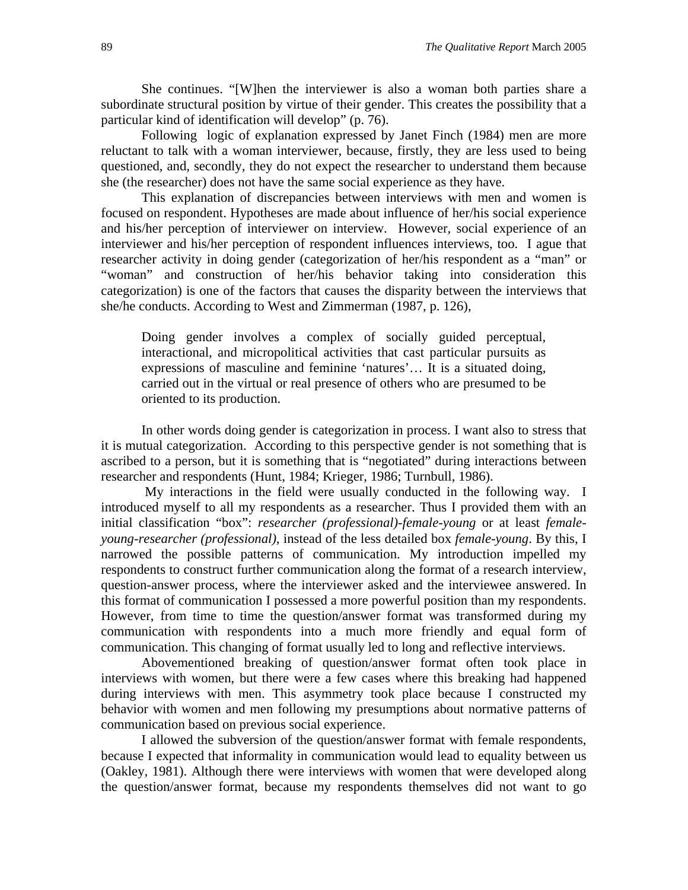She continues. "[W]hen the interviewer is also a woman both parties share a subordinate structural position by virtue of their gender. This creates the possibility that a particular kind of identification will develop" (p. 76).

Following logic of explanation expressed by Janet Finch (1984) men are more reluctant to talk with a woman interviewer, because, firstly, they are less used to being questioned, and, secondly, they do not expect the researcher to understand them because she (the researcher) does not have the same social experience as they have.

This explanation of discrepancies between interviews with men and women is focused on respondent. Hypotheses are made about influence of her/his social experience and his/her perception of interviewer on interview. However, social experience of an interviewer and his/her perception of respondent influences interviews, too. I ague that researcher activity in doing gender (categorization of her/his respondent as a "man" or "woman" and construction of her/his behavior taking into consideration this categorization) is one of the factors that causes the disparity between the interviews that she/he conducts. According to West and Zimmerman (1987, p. 126),

Doing gender involves a complex of socially guided perceptual, interactional, and micropolitical activities that cast particular pursuits as expressions of masculine and feminine 'natures'… It is a situated doing, carried out in the virtual or real presence of others who are presumed to be oriented to its production.

In other words doing gender is categorization in process. I want also to stress that it is mutual categorization. According to this perspective gender is not something that is ascribed to a person, but it is something that is "negotiated" during interactions between researcher and respondents (Hunt, 1984; Krieger, 1986; Turnbull, 1986).

 My interactions in the field were usually conducted in the following way. I introduced myself to all my respondents as a researcher. Thus I provided them with an initial classification "box": *researcher (professional)-female-young* or at least *femaleyoung-researcher (professional)*, instead of the less detailed box *female-young*. By this, I narrowed the possible patterns of communication. My introduction impelled my respondents to construct further communication along the format of a research interview, question-answer process, where the interviewer asked and the interviewee answered. In this format of communication I possessed a more powerful position than my respondents. However, from time to time the question/answer format was transformed during my communication with respondents into a much more friendly and equal form of communication. This changing of format usually led to long and reflective interviews.

Abovementioned breaking of question/answer format often took place in interviews with women, but there were a few cases where this breaking had happened during interviews with men. This asymmetry took place because I constructed my behavior with women and men following my presumptions about normative patterns of communication based on previous social experience.

I allowed the subversion of the question/answer format with female respondents, because I expected that informality in communication would lead to equality between us (Oakley, 1981). Although there were interviews with women that were developed along the question/answer format, because my respondents themselves did not want to go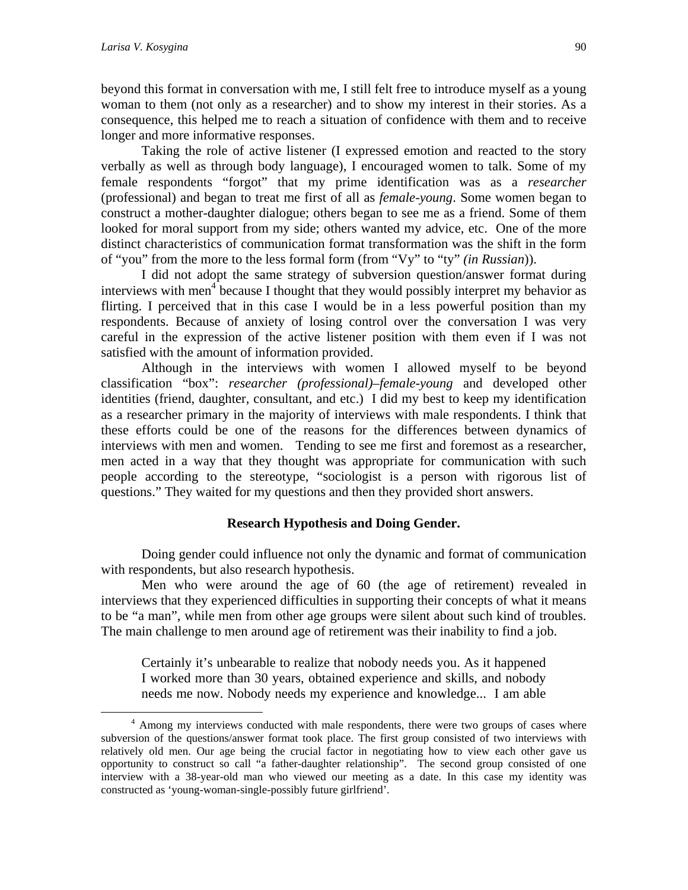beyond this format in conversation with me, I still felt free to introduce myself as a young woman to them (not only as a researcher) and to show my interest in their stories. As a consequence, this helped me to reach a situation of confidence with them and to receive longer and more informative responses.

Taking the role of active listener (I expressed emotion and reacted to the story verbally as well as through body language), I encouraged women to talk. Some of my female respondents "forgot" that my prime identification was as a *researcher* (professional) and began to treat me first of all as *female-young*. Some women began to construct a mother-daughter dialogue; others began to see me as a friend. Some of them looked for moral support from my side; others wanted my advice, etc. One of the more distinct characteristics of communication format transformation was the shift in the form of "you" from the more to the less formal form (from "Vy" to "ty" *(in Russian*)).

I did not adopt the same strategy of subversion question/answer format during interviews with men<sup>4</sup> because I thought that they would possibly interpret my behavior as flirting. I perceived that in this case I would be in a less powerful position than my respondents. Because of anxiety of losing control over the conversation I was very careful in the expression of the active listener position with them even if I was not satisfied with the amount of information provided.

Although in the interviews with women I allowed myself to be beyond classification "box": *researcher (professional)–female-young* and developed other identities (friend, daughter, consultant, and etc.) I did my best to keep my identification as a researcher primary in the majority of interviews with male respondents. I think that these efforts could be one of the reasons for the differences between dynamics of interviews with men and women. Tending to see me first and foremost as a researcher, men acted in a way that they thought was appropriate for communication with such people according to the stereotype, "sociologist is a person with rigorous list of questions." They waited for my questions and then they provided short answers.

#### **Research Hypothesis and Doing Gender.**

Doing gender could influence not only the dynamic and format of communication with respondents, but also research hypothesis.

Men who were around the age of 60 (the age of retirement) revealed in interviews that they experienced difficulties in supporting their concepts of what it means to be "a man", while men from other age groups were silent about such kind of troubles. The main challenge to men around age of retirement was their inability to find a job.

Certainly it's unbearable to realize that nobody needs you. As it happened I worked more than 30 years, obtained experience and skills, and nobody needs me now. Nobody needs my experience and knowledge... I am able

 $\frac{1}{4}$ <sup>4</sup> Among my interviews conducted with male respondents, there were two groups of cases where subversion of the questions/answer format took place. The first group consisted of two interviews with relatively old men. Our age being the crucial factor in negotiating how to view each other gave us opportunity to construct so call "a father-daughter relationship". The second group consisted of one interview with a 38-year-old man who viewed our meeting as a date. In this case my identity was constructed as 'young-woman-single-possibly future girlfriend'.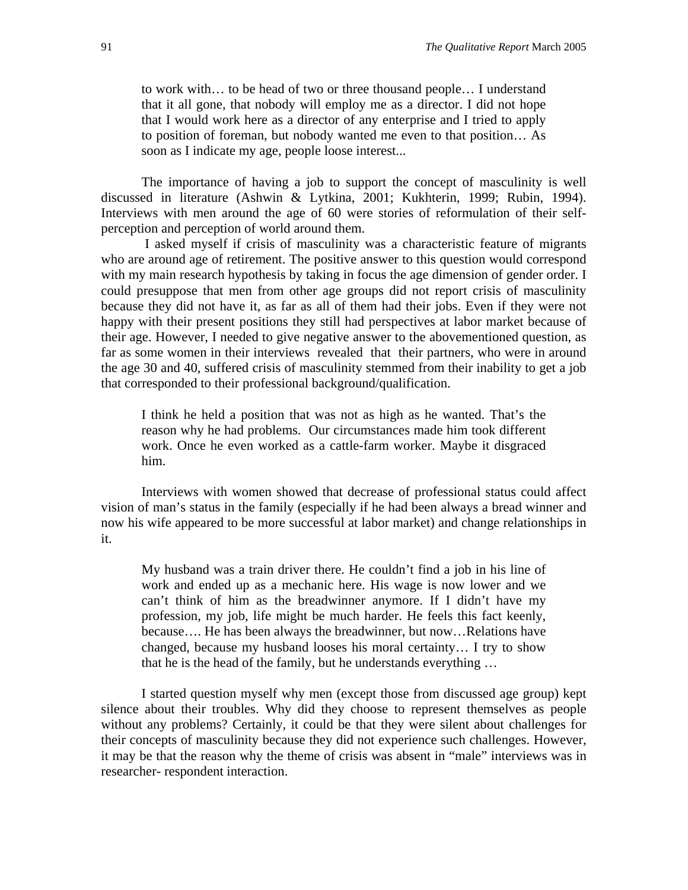to work with… to be head of two or three thousand people… I understand that it all gone, that nobody will employ me as a director. I did not hope that I would work here as a director of any enterprise and I tried to apply to position of foreman, but nobody wanted me even to that position… As soon as I indicate my age, people loose interest...

The importance of having a job to support the concept of masculinity is well discussed in literature (Ashwin & Lytkina, 2001; Kukhterin, 1999; Rubin, 1994). Interviews with men around the age of 60 were stories of reformulation of their selfperception and perception of world around them.

 I asked myself if crisis of masculinity was a characteristic feature of migrants who are around age of retirement. The positive answer to this question would correspond with my main research hypothesis by taking in focus the age dimension of gender order. I could presuppose that men from other age groups did not report crisis of masculinity because they did not have it, as far as all of them had their jobs. Even if they were not happy with their present positions they still had perspectives at labor market because of their age. However, I needed to give negative answer to the abovementioned question, as far as some women in their interviews revealed that their partners, who were in around the age 30 and 40, suffered crisis of masculinity stemmed from their inability to get a job that corresponded to their professional background/qualification.

I think he held a position that was not as high as he wanted. That's the reason why he had problems. Our circumstances made him took different work. Once he even worked as a cattle-farm worker. Maybe it disgraced him.

Interviews with women showed that decrease of professional status could affect vision of man's status in the family (especially if he had been always a bread winner and now his wife appeared to be more successful at labor market) and change relationships in it.

My husband was a train driver there. He couldn't find a job in his line of work and ended up as a mechanic here. His wage is now lower and we can't think of him as the breadwinner anymore. If I didn't have my profession, my job, life might be much harder. He feels this fact keenly, because…. He has been always the breadwinner, but now…Relations have changed, because my husband looses his moral certainty… I try to show that he is the head of the family, but he understands everything …

I started question myself why men (except those from discussed age group) kept silence about their troubles. Why did they choose to represent themselves as people without any problems? Certainly, it could be that they were silent about challenges for their concepts of masculinity because they did not experience such challenges. However, it may be that the reason why the theme of crisis was absent in "male" interviews was in researcher- respondent interaction.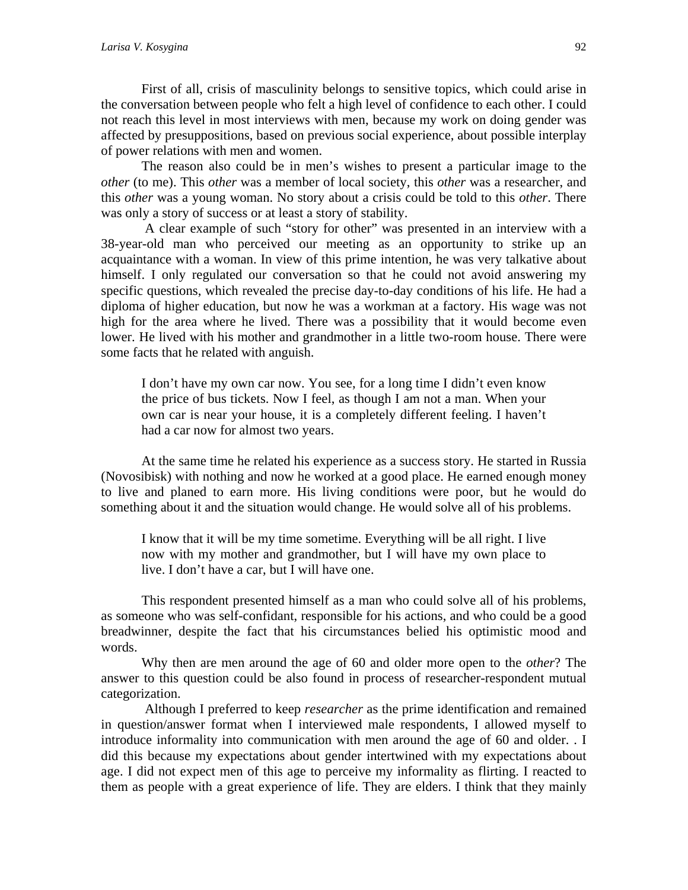First of all, crisis of masculinity belongs to sensitive topics, which could arise in the conversation between people who felt a high level of confidence to each other. I could not reach this level in most interviews with men, because my work on doing gender was affected by presuppositions, based on previous social experience, about possible interplay of power relations with men and women.

The reason also could be in men's wishes to present a particular image to the *other* (to me). This *other* was a member of local society, this *other* was a researcher, and this *other* was a young woman. No story about a crisis could be told to this *other*. There was only a story of success or at least a story of stability.

 A clear example of such "story for other" was presented in an interview with a 38-year-old man who perceived our meeting as an opportunity to strike up an acquaintance with a woman. In view of this prime intention, he was very talkative about himself. I only regulated our conversation so that he could not avoid answering my specific questions, which revealed the precise day-to-day conditions of his life. He had a diploma of higher education, but now he was a workman at a factory. His wage was not high for the area where he lived. There was a possibility that it would become even lower. He lived with his mother and grandmother in a little two-room house. There were some facts that he related with anguish.

I don't have my own car now. You see, for a long time I didn't even know the price of bus tickets. Now I feel, as though I am not a man. When your own car is near your house, it is a completely different feeling. I haven't had a car now for almost two years.

At the same time he related his experience as a success story. He started in Russia (Novosibisk) with nothing and now he worked at a good place. He earned enough money to live and planed to earn more. His living conditions were poor, but he would do something about it and the situation would change. He would solve all of his problems.

I know that it will be my time sometime. Everything will be all right. I live now with my mother and grandmother, but I will have my own place to live. I don't have a car, but I will have one.

This respondent presented himself as a man who could solve all of his problems, as someone who was self-confidant, responsible for his actions, and who could be a good breadwinner, despite the fact that his circumstances belied his optimistic mood and words.

Why then are men around the age of 60 and older more open to the *other*? The answer to this question could be also found in process of researcher-respondent mutual categorization.

 Although I preferred to keep *researcher* as the prime identification and remained in question/answer format when I interviewed male respondents, I allowed myself to introduce informality into communication with men around the age of 60 and older. . I did this because my expectations about gender intertwined with my expectations about age. I did not expect men of this age to perceive my informality as flirting. I reacted to them as people with a great experience of life. They are elders. I think that they mainly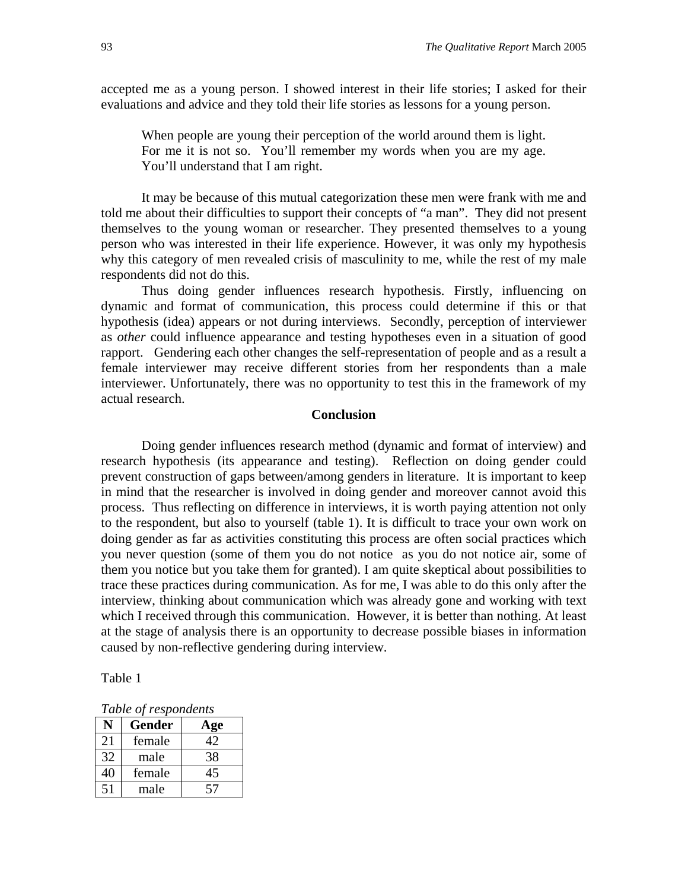accepted me as a young person. I showed interest in their life stories; I asked for their evaluations and advice and they told their life stories as lessons for a young person.

When people are young their perception of the world around them is light. For me it is not so. You'll remember my words when you are my age. You'll understand that I am right.

It may be because of this mutual categorization these men were frank with me and told me about their difficulties to support their concepts of "a man". They did not present themselves to the young woman or researcher. They presented themselves to a young person who was interested in their life experience. However, it was only my hypothesis why this category of men revealed crisis of masculinity to me, while the rest of my male respondents did not do this.

Thus doing gender influences research hypothesis. Firstly, influencing on dynamic and format of communication, this process could determine if this or that hypothesis (idea) appears or not during interviews. Secondly, perception of interviewer as *other* could influence appearance and testing hypotheses even in a situation of good rapport. Gendering each other changes the self-representation of people and as a result a female interviewer may receive different stories from her respondents than a male interviewer. Unfortunately, there was no opportunity to test this in the framework of my actual research.

### **Conclusion**

Doing gender influences research method (dynamic and format of interview) and research hypothesis (its appearance and testing). Reflection on doing gender could prevent construction of gaps between/among genders in literature. It is important to keep in mind that the researcher is involved in doing gender and moreover cannot avoid this process. Thus reflecting on difference in interviews, it is worth paying attention not only to the respondent, but also to yourself (table 1). It is difficult to trace your own work on doing gender as far as activities constituting this process are often social practices which you never question (some of them you do not notice as you do not notice air, some of them you notice but you take them for granted). I am quite skeptical about possibilities to trace these practices during communication. As for me, I was able to do this only after the interview, thinking about communication which was already gone and working with text which I received through this communication. However, it is better than nothing. At least at the stage of analysis there is an opportunity to decrease possible biases in information caused by non-reflective gendering during interview.

Table 1

|  | Table of respondents |
|--|----------------------|
|--|----------------------|

| N  | <b>Gender</b> | Age |
|----|---------------|-----|
| 21 | female        | 42  |
| 32 | male          | 38  |
| 40 | female        |     |
| 51 | male          | 57  |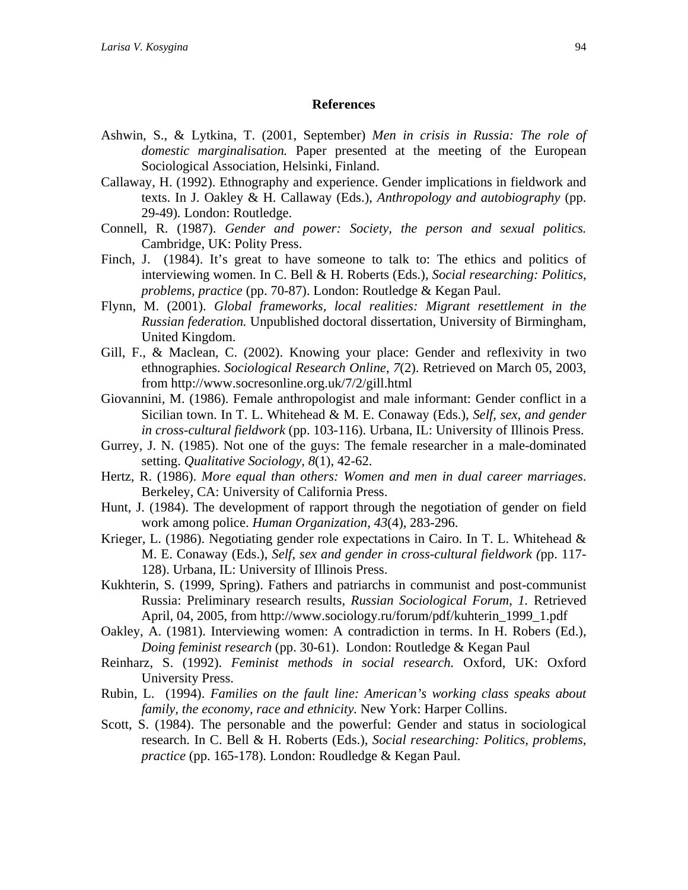#### **References**

- Ashwin, S., & Lytkina, T. (2001, September) *Men in crisis in Russia: The role of domestic marginalisation.* Paper presented at the meeting of the European Sociological Association, Helsinki, Finland.
- Callaway, H. (1992). Ethnography and experience. Gender implications in fieldwork and texts. In J. Oakley & H. Callaway (Eds.), *Anthropology and autobiography* (pp. 29-49)*.* London: Routledge.
- Connell, R. (1987). *Gender and power: Society, the person and sexual politics.*  Cambridge, UK: Polity Press.
- Finch, J. (1984). It's great to have someone to talk to: The ethics and politics of interviewing women. In C. Bell & H. Roberts (Eds.), *Social researching: Politics, problems, practice* (pp. 70-87). London: Routledge & Kegan Paul.
- Flynn, M. (2001). *Global frameworks, local realities: Migrant resettlement in the Russian federation.* Unpublished doctoral dissertation, University of Birmingham, United Kingdom.
- Gill, F., & Maclean, C. (2002). Knowing your place: Gender and reflexivity in two ethnographies. *Sociological Research Online*, *7*(2). Retrieved on March 05, 2003, from http://www.socresonline.org.uk/7/2/gill.html
- Giovannini, M. (1986). Female anthropologist and male informant: Gender conflict in a Sicilian town. In T. L. Whitehead & M. E. Conaway (Eds.), *Self, sex, and gender in cross-cultural fieldwork* (pp. 103-116). Urbana, IL: University of Illinois Press.
- Gurrey, J. N. (1985). Not one of the guys: The female researcher in a male-dominated setting. *Qualitative Sociology, 8*(1), 42-62.
- Hertz, R. (1986). *More equal than others: Women and men in dual career marriages*. Berkeley, CA: University of California Press.
- Hunt, J. (1984). The development of rapport through the negotiation of gender on field work among police. *Human Organization, 43*(4), 283-296.
- Krieger, L. (1986). Negotiating gender role expectations in Cairo. In T. L. Whitehead & M. E. Conaway (Eds.), *Self, sex and gender in cross-cultural fieldwork (*pp. 117- 128). Urbana, IL: University of Illinois Press.
- Kukhterin, S. (1999, Spring). Fathers and patriarchs in communist and post-communist Russia: Preliminary research results, *Russian Sociological Forum, 1.* Retrieved April, 04, 2005, from http://www.sociology.ru/forum/pdf/kuhterin\_1999\_1.pdf
- Oakley, A. (1981). Interviewing women: A contradiction in terms. In H. Robers (Ed.), *Doing feminist research* (pp. 30-61). London: Routledge & Kegan Paul
- Reinharz, S. (1992). *Feminist methods in social research.* Oxford, UK: Oxford University Press.
- Rubin, L. (1994). *Families on the fault line: American's working class speaks about family, the economy, race and ethnicity.* New York: Harper Collins.
- Scott, S. (1984). The personable and the powerful: Gender and status in sociological research. In C. Bell & H. Roberts (Eds.), *Social researching: Politics, problems, practice* (pp. 165-178)*.* London: Roudledge & Kegan Paul.